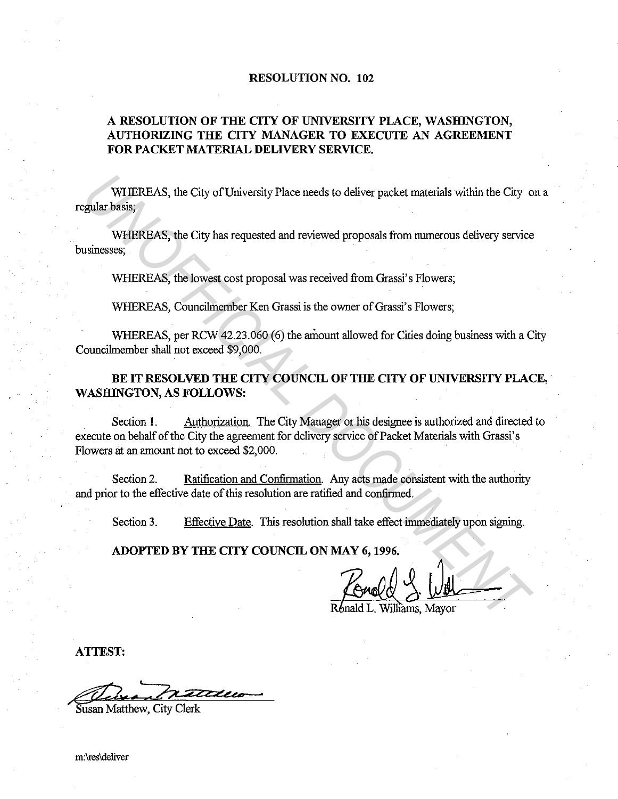## **RESOLUTION NO. 102**

## **A RESOLUTION OF THE CITY OF UNIVERSITY PLACE, WASHINGTON, AUTHORIZING THE CITY MANAGER TO EXECUTE AN AGREEMENT FOR PACKET MATERIAL DELIVERY SERVICE.**

WHEREAS, the City of University Place needs to deliver packet materials within the City on a regular basis;

WHEREAS, the City has requested and reviewed proposals from numerous delivery service businesses;

WHEREAS, the lowest cost proposal was received from Grassi's Flowers;

WHEREAS, Councilmember Ken Grassi is the owner of Grassi's Flowers;

WHEREAS, per RCW 42.23.060 (6) the amount allowed for Cities doing business with a City Councilmember shall not exceed \$9,000.

## BE IT RESOLVED THE CITY COUNCIL OF THE CITY OF UNIVERSITY PLACE, **WASHINGTON, AS FOLLOWS:**

Section **1.** Authorization. The City Manager or his designee is authorized and directed to execute on behalf of the City the agreement for delivery service of Packet Materials with Grassi's Flowers at an amount not to exceed \$2,000. WHEREAS, the City of University Place needs to deliver packet materials within the City of WHEREAS, the City has requested and reviewed proposals from numerous delivery service<br>
UNIFEREAS, the lowest cost proposal was rece

Section 2. Ratification and Confirmation. Any acts made consistent with the authority and prior to the effective date of this resolution are ratified and confirmed.

Section 3. Effective Date. This resolution shall take effect immediately upon signing.

**ADOPTED BY THE CITY COUNCIL ON MAY 6, 1996 .** 

Ronald L. Williams, Mayor

**ATTEST:** 

Susan Matthew, City Clerk

m:\res\deliver